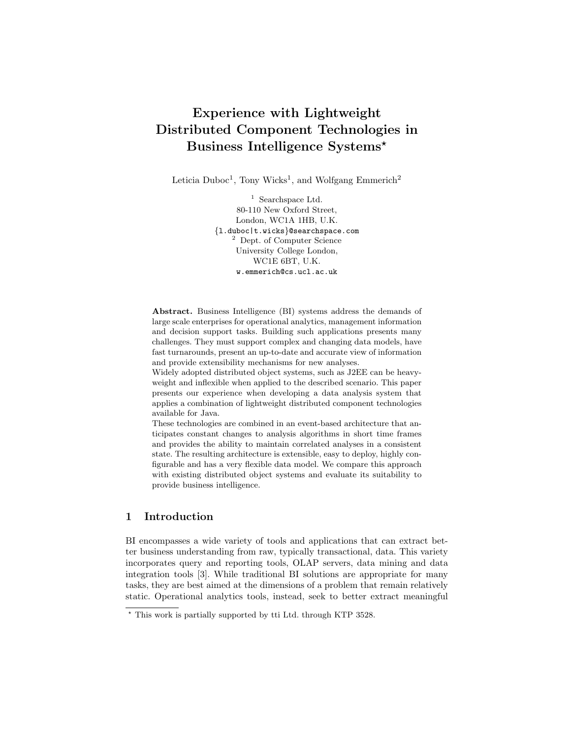# Experience with Lightweight Distributed Component Technologies in Business Intelligence Systems?

Leticia Duboc<sup>1</sup>, Tony Wicks<sup>1</sup>, and Wolfgang Emmerich<sup>2</sup>

 $1$  Search space Ltd. 80-110 New Oxford Street, London, WC1A 1HB, U.K. {l.duboc|t.wicks}@searchspace.com <sup>2</sup> Dept. of Computer Science University College London, WC1E 6BT, U.K. w.emmerich@cs.ucl.ac.uk

Abstract. Business Intelligence (BI) systems address the demands of large scale enterprises for operational analytics, management information and decision support tasks. Building such applications presents many challenges. They must support complex and changing data models, have fast turnarounds, present an up-to-date and accurate view of information and provide extensibility mechanisms for new analyses.

Widely adopted distributed object systems, such as J2EE can be heavyweight and inflexible when applied to the described scenario. This paper presents our experience when developing a data analysis system that applies a combination of lightweight distributed component technologies available for Java.

These technologies are combined in an event-based architecture that anticipates constant changes to analysis algorithms in short time frames and provides the ability to maintain correlated analyses in a consistent state. The resulting architecture is extensible, easy to deploy, highly configurable and has a very flexible data model. We compare this approach with existing distributed object systems and evaluate its suitability to provide business intelligence.

# 1 Introduction

BI encompasses a wide variety of tools and applications that can extract better business understanding from raw, typically transactional, data. This variety incorporates query and reporting tools, OLAP servers, data mining and data integration tools [3]. While traditional BI solutions are appropriate for many tasks, they are best aimed at the dimensions of a problem that remain relatively static. Operational analytics tools, instead, seek to better extract meaningful

 $\star$  This work is partially supported by tti Ltd. through KTP 3528.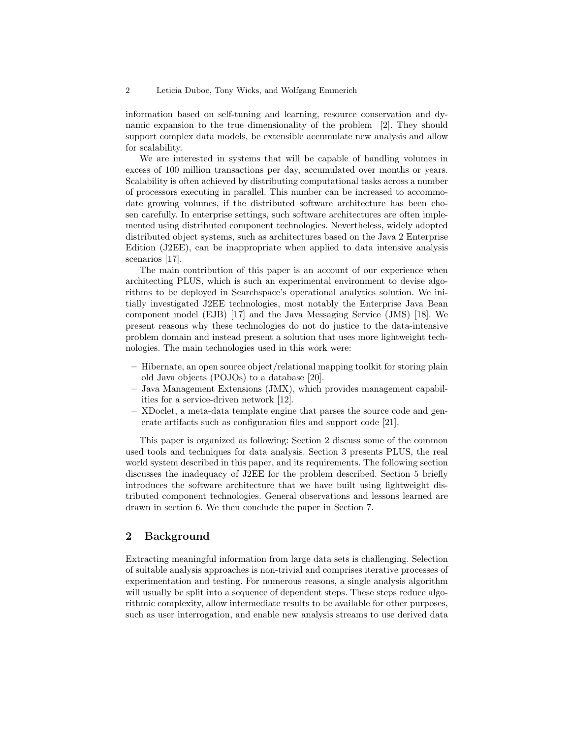information based on self-tuning and learning, resource conservation and dynamic expansion to the true dimensionality of the problem [2]. They should support complex data models, be extensible accumulate new analysis and allow for scalability.

We are interested in systems that will be capable of handling volumes in excess of 100 million transactions per day, accumulated over months or years. Scalability is often achieved by distributing computational tasks across a number of processors executing in parallel. This number can be increased to accommodate growing volumes, if the distributed software architecture has been chosen carefully. In enterprise settings, such software architectures are often implemented using distributed component technologies. Nevertheless, widely adopted distributed object systems, such as architectures based on the Java 2 Enterprise Edition (J2EE), can be inappropriate when applied to data intensive analysis scenarios [17].

The main contribution of this paper is an account of our experience when architecting PLUS, which is such an experimental environment to devise algorithms to be deployed in Searchspace's operational analytics solution. We initially investigated J2EE technologies, most notably the Enterprise Java Bean component model (EJB) [17] and the Java Messaging Service (JMS) [18]. We present reasons why these technologies do not do justice to the data-intensive problem domain and instead present a solution that uses more lightweight technologies. The main technologies used in this work were:

- Hibernate, an open source object/relational mapping toolkit for storing plain old Java objects (POJOs) to a database [20].
- Java Management Extensions (JMX), which provides management capabilities for a service-driven network [12].
- XDoclet, a meta-data template engine that parses the source code and generate artifacts such as configuration files and support code [21].

This paper is organized as following: Section 2 discuss some of the common used tools and techniques for data analysis. Section 3 presents PLUS, the real world system described in this paper, and its requirements. The following section discusses the inadequacy of J2EE for the problem described. Section 5 briefly introduces the software architecture that we have built using lightweight distributed component technologies. General observations and lessons learned are drawn in section 6. We then conclude the paper in Section 7.

# 2 Background

Extracting meaningful information from large data sets is challenging. Selection of suitable analysis approaches is non-trivial and comprises iterative processes of experimentation and testing. For numerous reasons, a single analysis algorithm will usually be split into a sequence of dependent steps. These steps reduce algorithmic complexity, allow intermediate results to be available for other purposes, such as user interrogation, and enable new analysis streams to use derived data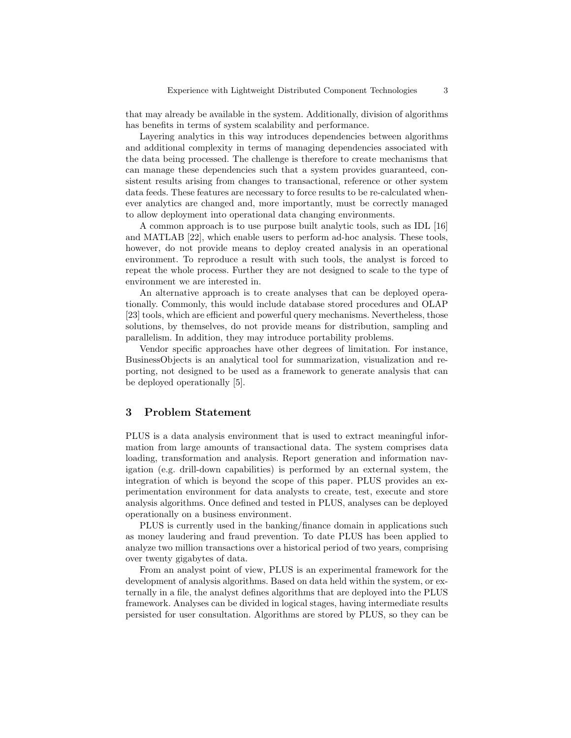that may already be available in the system. Additionally, division of algorithms has benefits in terms of system scalability and performance.

Layering analytics in this way introduces dependencies between algorithms and additional complexity in terms of managing dependencies associated with the data being processed. The challenge is therefore to create mechanisms that can manage these dependencies such that a system provides guaranteed, consistent results arising from changes to transactional, reference or other system data feeds. These features are necessary to force results to be re-calculated whenever analytics are changed and, more importantly, must be correctly managed to allow deployment into operational data changing environments.

A common approach is to use purpose built analytic tools, such as IDL [16] and MATLAB [22], which enable users to perform ad-hoc analysis. These tools, however, do not provide means to deploy created analysis in an operational environment. To reproduce a result with such tools, the analyst is forced to repeat the whole process. Further they are not designed to scale to the type of environment we are interested in.

An alternative approach is to create analyses that can be deployed operationally. Commonly, this would include database stored procedures and OLAP [23] tools, which are efficient and powerful query mechanisms. Nevertheless, those solutions, by themselves, do not provide means for distribution, sampling and parallelism. In addition, they may introduce portability problems.

Vendor specific approaches have other degrees of limitation. For instance, BusinessObjects is an analytical tool for summarization, visualization and reporting, not designed to be used as a framework to generate analysis that can be deployed operationally [5].

# 3 Problem Statement

PLUS is a data analysis environment that is used to extract meaningful information from large amounts of transactional data. The system comprises data loading, transformation and analysis. Report generation and information navigation (e.g. drill-down capabilities) is performed by an external system, the integration of which is beyond the scope of this paper. PLUS provides an experimentation environment for data analysts to create, test, execute and store analysis algorithms. Once defined and tested in PLUS, analyses can be deployed operationally on a business environment.

PLUS is currently used in the banking/finance domain in applications such as money laudering and fraud prevention. To date PLUS has been applied to analyze two million transactions over a historical period of two years, comprising over twenty gigabytes of data.

From an analyst point of view, PLUS is an experimental framework for the development of analysis algorithms. Based on data held within the system, or externally in a file, the analyst defines algorithms that are deployed into the PLUS framework. Analyses can be divided in logical stages, having intermediate results persisted for user consultation. Algorithms are stored by PLUS, so they can be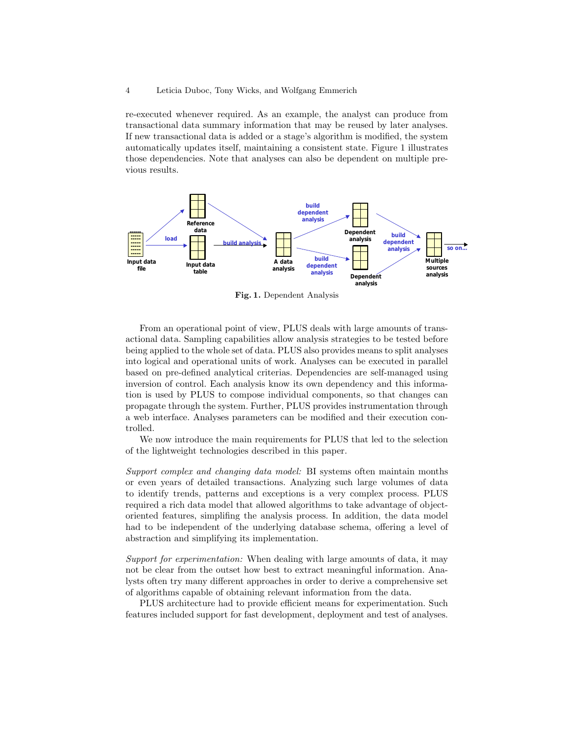re-executed whenever required. As an example, the analyst can produce from transactional data summary information that may be reused by later analyses. If new transactional data is added or a stage's algorithm is modified, the system automatically updates itself, maintaining a consistent state. Figure 1 illustrates those dependencies. Note that analyses can also be dependent on multiple previous results.



Fig. 1. Dependent Analysis

From an operational point of view, PLUS deals with large amounts of transactional data. Sampling capabilities allow analysis strategies to be tested before being applied to the whole set of data. PLUS also provides means to split analyses into logical and operational units of work. Analyses can be executed in parallel based on pre-defined analytical criterias. Dependencies are self-managed using inversion of control. Each analysis know its own dependency and this information is used by PLUS to compose individual components, so that changes can propagate through the system. Further, PLUS provides instrumentation through a web interface. Analyses parameters can be modified and their execution controlled.

We now introduce the main requirements for PLUS that led to the selection of the lightweight technologies described in this paper.

Support complex and changing data model: BI systems often maintain months or even years of detailed transactions. Analyzing such large volumes of data to identify trends, patterns and exceptions is a very complex process. PLUS required a rich data model that allowed algorithms to take advantage of objectoriented features, simplifing the analysis process. In addition, the data model had to be independent of the underlying database schema, offering a level of abstraction and simplifying its implementation.

Support for experimentation: When dealing with large amounts of data, it may not be clear from the outset how best to extract meaningful information. Analysts often try many different approaches in order to derive a comprehensive set of algorithms capable of obtaining relevant information from the data.

PLUS architecture had to provide efficient means for experimentation. Such features included support for fast development, deployment and test of analyses.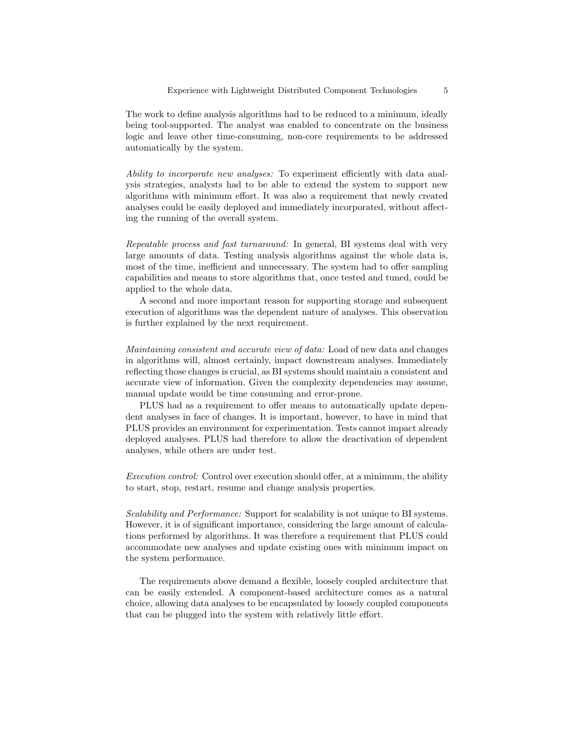The work to define analysis algorithms had to be reduced to a minimum, ideally being tool-supported. The analyst was enabled to concentrate on the business logic and leave other time-consuming, non-core requirements to be addressed automatically by the system.

Ability to incorporate new analyses: To experiment efficiently with data analysis strategies, analysts had to be able to extend the system to support new algorithms with minimum effort. It was also a requirement that newly created analyses could be easily deployed and immediately incorporated, without affecting the running of the overall system.

Repeatable process and fast turnaround: In general, BI systems deal with very large amounts of data. Testing analysis algorithms against the whole data is, most of the time, inefficient and unnecessary. The system had to offer sampling capabilities and means to store algorithms that, once tested and tuned, could be applied to the whole data.

A second and more important reason for supporting storage and subsequent execution of algorithms was the dependent nature of analyses. This observation is further explained by the next requirement.

Maintaining consistent and accurate view of data: Load of new data and changes in algorithms will, almost certainly, impact downstream analyses. Immediately reflecting those changes is crucial, as BI systems should maintain a consistent and accurate view of information. Given the complexity dependencies may assume, manual update would be time consuming and error-prone.

PLUS had as a requirement to offer means to automatically update dependent analyses in face of changes. It is important, however, to have in mind that PLUS provides an environment for experimentation. Tests cannot impact already deployed analyses. PLUS had therefore to allow the deactivation of dependent analyses, while others are under test.

Execution control: Control over execution should offer, at a minimum, the ability to start, stop, restart, resume and change analysis properties.

Scalability and Performance: Support for scalability is not unique to BI systems. However, it is of significant importance, considering the large amount of calculations performed by algorithms. It was therefore a requirement that PLUS could accommodate new analyses and update existing ones with minimum impact on the system performance.

The requirements above demand a flexible, loosely coupled architecture that can be easily extended. A component-based architecture comes as a natural choice, allowing data analyses to be encapsulated by loosely coupled components that can be plugged into the system with relatively little effort.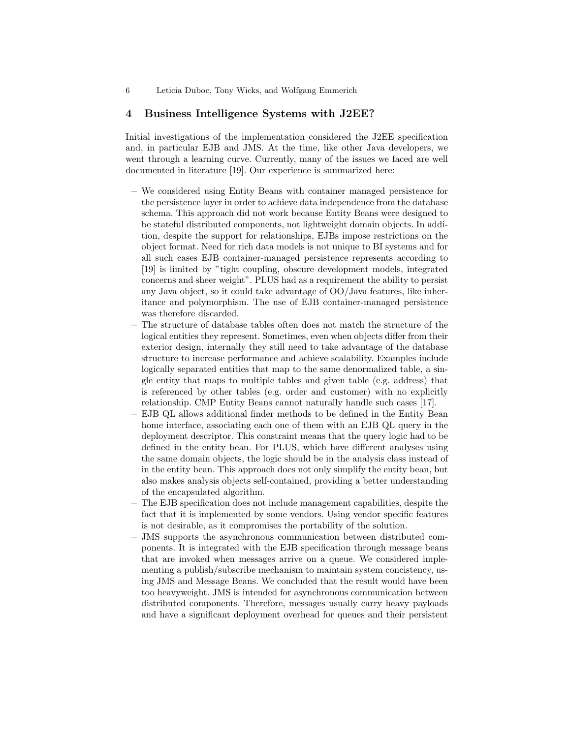## 4 Business Intelligence Systems with J2EE?

Initial investigations of the implementation considered the J2EE specification and, in particular EJB and JMS. At the time, like other Java developers, we went through a learning curve. Currently, many of the issues we faced are well documented in literature [19]. Our experience is summarized here:

- We considered using Entity Beans with container managed persistence for the persistence layer in order to achieve data independence from the database schema. This approach did not work because Entity Beans were designed to be stateful distributed components, not lightweight domain objects. In addition, despite the support for relationships, EJBs impose restrictions on the object format. Need for rich data models is not unique to BI systems and for all such cases EJB container-managed persistence represents according to [19] is limited by "tight coupling, obscure development models, integrated concerns and sheer weight". PLUS had as a requirement the ability to persist any Java object, so it could take advantage of OO/Java features, like inheritance and polymorphism. The use of EJB container-managed persistence was therefore discarded.
- The structure of database tables often does not match the structure of the logical entities they represent. Sometimes, even when objects differ from their exterior design, internally they still need to take advantage of the database structure to increase performance and achieve scalability. Examples include logically separated entities that map to the same denormalized table, a single entity that maps to multiple tables and given table (e.g. address) that is referenced by other tables (e.g. order and customer) with no explicitly relationship. CMP Entity Beans cannot naturally handle such cases [17].
- EJB QL allows additional finder methods to be defined in the Entity Bean home interface, associating each one of them with an EJB QL query in the deployment descriptor. This constraint means that the query logic had to be defined in the entity bean. For PLUS, which have different analyses using the same domain objects, the logic should be in the analysis class instead of in the entity bean. This approach does not only simplify the entity bean, but also makes analysis objects self-contained, providing a better understanding of the encapsulated algorithm.
- The EJB specification does not include management capabilities, despite the fact that it is implemented by some vendors. Using vendor specific features is not desirable, as it compromises the portability of the solution.
- JMS supports the asynchronous communication between distributed components. It is integrated with the EJB specification through message beans that are invoked when messages arrive on a queue. We considered implementing a publish/subscribe mechanism to maintain system concistency, using JMS and Message Beans. We concluded that the result would have been too heavyweight. JMS is intended for asynchronous communication between distributed components. Therefore, messages usually carry heavy payloads and have a significant deployment overhead for queues and their persistent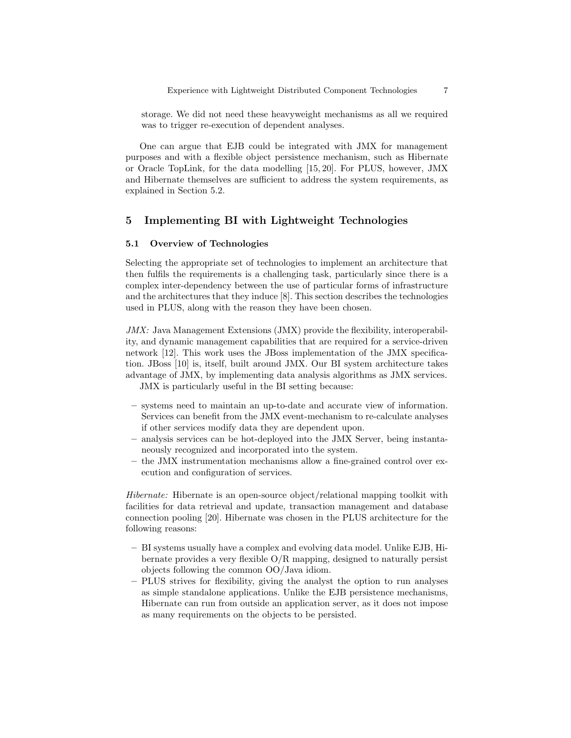storage. We did not need these heavyweight mechanisms as all we required was to trigger re-execution of dependent analyses.

One can argue that EJB could be integrated with JMX for management purposes and with a flexible object persistence mechanism, such as Hibernate or Oracle TopLink, for the data modelling [15, 20]. For PLUS, however, JMX and Hibernate themselves are sufficient to address the system requirements, as explained in Section 5.2.

# 5 Implementing BI with Lightweight Technologies

## 5.1 Overview of Technologies

Selecting the appropriate set of technologies to implement an architecture that then fulfils the requirements is a challenging task, particularly since there is a complex inter-dependency between the use of particular forms of infrastructure and the architectures that they induce [8]. This section describes the technologies used in PLUS, along with the reason they have been chosen.

JMX: Java Management Extensions (JMX) provide the flexibility, interoperability, and dynamic management capabilities that are required for a service-driven network [12]. This work uses the JBoss implementation of the JMX specification. JBoss [10] is, itself, built around JMX. Our BI system architecture takes advantage of JMX, by implementing data analysis algorithms as JMX services.

JMX is particularly useful in the BI setting because:

- systems need to maintain an up-to-date and accurate view of information. Services can benefit from the JMX event-mechanism to re-calculate analyses if other services modify data they are dependent upon.
- analysis services can be hot-deployed into the JMX Server, being instantaneously recognized and incorporated into the system.
- the JMX instrumentation mechanisms allow a fine-grained control over execution and configuration of services.

Hibernate: Hibernate is an open-source object/relational mapping toolkit with facilities for data retrieval and update, transaction management and database connection pooling [20]. Hibernate was chosen in the PLUS architecture for the following reasons:

- BI systems usually have a complex and evolving data model. Unlike EJB, Hibernate provides a very flexible O/R mapping, designed to naturally persist objects following the common OO/Java idiom.
- PLUS strives for flexibility, giving the analyst the option to run analyses as simple standalone applications. Unlike the EJB persistence mechanisms, Hibernate can run from outside an application server, as it does not impose as many requirements on the objects to be persisted.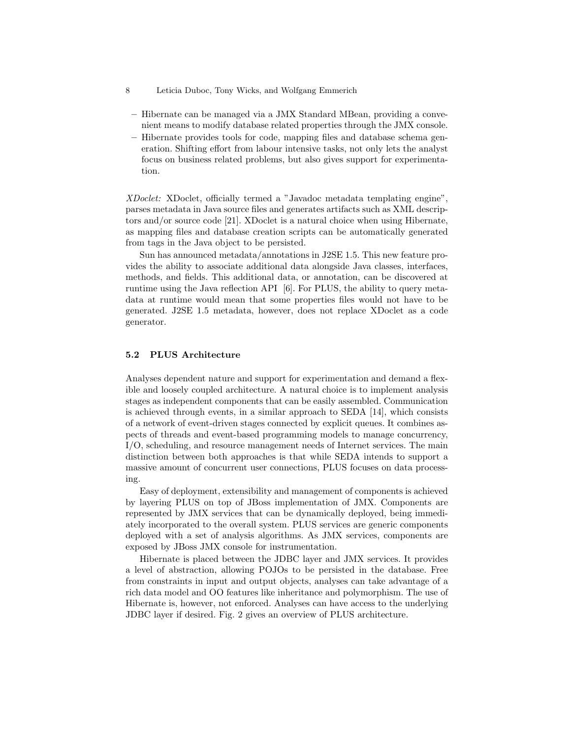- 8 Leticia Duboc, Tony Wicks, and Wolfgang Emmerich
- Hibernate can be managed via a JMX Standard MBean, providing a convenient means to modify database related properties through the JMX console.
- Hibernate provides tools for code, mapping files and database schema generation. Shifting effort from labour intensive tasks, not only lets the analyst focus on business related problems, but also gives support for experimentation.

XDoclet: XDoclet, officially termed a "Javadoc metadata templating engine", parses metadata in Java source files and generates artifacts such as XML descriptors and/or source code [21]. XDoclet is a natural choice when using Hibernate, as mapping files and database creation scripts can be automatically generated from tags in the Java object to be persisted.

Sun has announced metadata/annotations in J2SE 1.5. This new feature provides the ability to associate additional data alongside Java classes, interfaces, methods, and fields. This additional data, or annotation, can be discovered at runtime using the Java reflection API [6]. For PLUS, the ability to query metadata at runtime would mean that some properties files would not have to be generated. J2SE 1.5 metadata, however, does not replace XDoclet as a code generator.

### 5.2 PLUS Architecture

Analyses dependent nature and support for experimentation and demand a flexible and loosely coupled architecture. A natural choice is to implement analysis stages as independent components that can be easily assembled. Communication is achieved through events, in a similar approach to SEDA [14], which consists of a network of event-driven stages connected by explicit queues. It combines aspects of threads and event-based programming models to manage concurrency, I/O, scheduling, and resource management needs of Internet services. The main distinction between both approaches is that while SEDA intends to support a massive amount of concurrent user connections, PLUS focuses on data processing.

Easy of deployment, extensibility and management of components is achieved by layering PLUS on top of JBoss implementation of JMX. Components are represented by JMX services that can be dynamically deployed, being immediately incorporated to the overall system. PLUS services are generic components deployed with a set of analysis algorithms. As JMX services, components are exposed by JBoss JMX console for instrumentation.

Hibernate is placed between the JDBC layer and JMX services. It provides a level of abstraction, allowing POJOs to be persisted in the database. Free from constraints in input and output objects, analyses can take advantage of a rich data model and OO features like inheritance and polymorphism. The use of Hibernate is, however, not enforced. Analyses can have access to the underlying JDBC layer if desired. Fig. 2 gives an overview of PLUS architecture.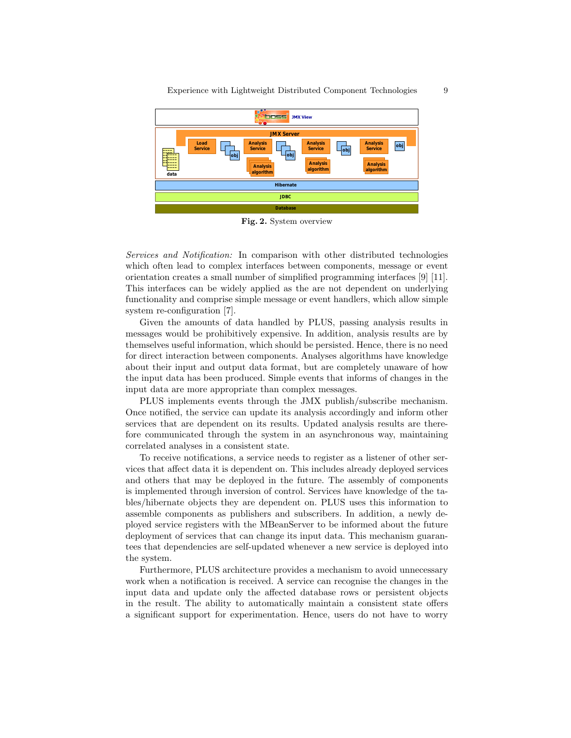

Fig. 2. System overview

Services and Notification: In comparison with other distributed technologies which often lead to complex interfaces between components, message or event orientation creates a small number of simplified programming interfaces [9] [11]. This interfaces can be widely applied as the are not dependent on underlying functionality and comprise simple message or event handlers, which allow simple system re-configuration [7].

Given the amounts of data handled by PLUS, passing analysis results in messages would be prohibitively expensive. In addition, analysis results are by themselves useful information, which should be persisted. Hence, there is no need for direct interaction between components. Analyses algorithms have knowledge about their input and output data format, but are completely unaware of how the input data has been produced. Simple events that informs of changes in the input data are more appropriate than complex messages.

PLUS implements events through the JMX publish/subscribe mechanism. Once notified, the service can update its analysis accordingly and inform other services that are dependent on its results. Updated analysis results are therefore communicated through the system in an asynchronous way, maintaining correlated analyses in a consistent state.

To receive notifications, a service needs to register as a listener of other services that affect data it is dependent on. This includes already deployed services and others that may be deployed in the future. The assembly of components is implemented through inversion of control. Services have knowledge of the tables/hibernate objects they are dependent on. PLUS uses this information to assemble components as publishers and subscribers. In addition, a newly deployed service registers with the MBeanServer to be informed about the future deployment of services that can change its input data. This mechanism guarantees that dependencies are self-updated whenever a new service is deployed into the system.

Furthermore, PLUS architecture provides a mechanism to avoid unnecessary work when a notification is received. A service can recognise the changes in the input data and update only the affected database rows or persistent objects in the result. The ability to automatically maintain a consistent state offers a significant support for experimentation. Hence, users do not have to worry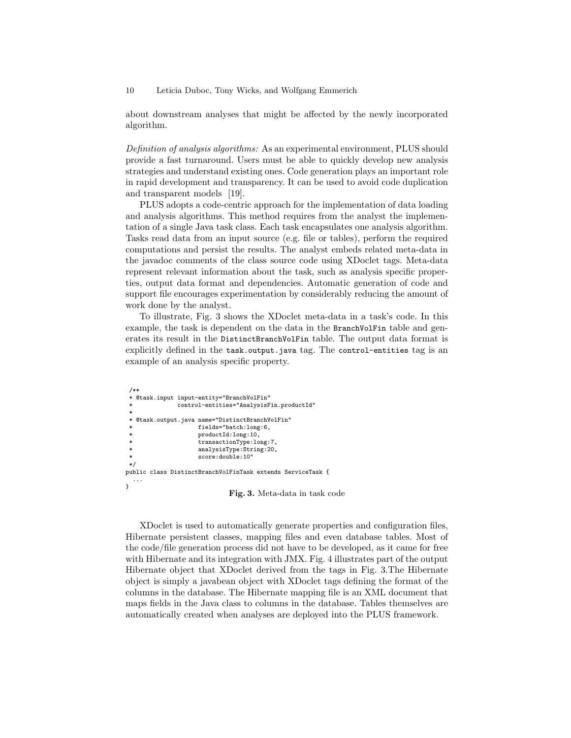about downstream analyses that might be affected by the newly incorporated algorithm.

Definition of analysis algorithms: As an experimental environment, PLUS should provide a fast turnaround. Users must be able to quickly develop new analysis strategies and understand existing ones. Code generation plays an important role in rapid development and transparency. It can be used to avoid code duplication and transparent models [19].

PLUS adopts a code-centric approach for the implementation of data loading and analysis algorithms. This method requires from the analyst the implementation of a single Java task class. Each task encapsulates one analysis algorithm. Tasks read data from an input source (e.g. file or tables), perform the required computations and persist the results. The analyst embeds related meta-data in the javadoc comments of the class source code using XDoclet tags. Meta-data represent relevant information about the task, such as analysis specific properties, output data format and dependencies. Automatic generation of code and support file encourages experimentation by considerably reducing the amount of work done by the analyst.

To illustrate, Fig. 3 shows the XDoclet meta-data in a task's code. In this example, the task is dependent on the data in the BranchVolFin table and generates its result in the DistinctBranchVolFin table. The output data format is explicitly defined in the task.output.java tag. The control-entities tag is an example of an analysis specific property.

```
/**
  @task.input input-entity="BranchVolFin"
               * control-entities="AnalysisFin.productId"
 *
 * @task.output.java name="DistinctBranchVolFin"
                      fields="batch:long:6,
                      productId:long:10,
                      .<br>transactionType:long:7,
                      analysisType:String:20,
                      score:double:10"
 */
public class DistinctBranchVolFinTask extends ServiceTask {
  ...
}
```
Fig. 3. Meta-data in task code

XDoclet is used to automatically generate properties and configuration files, Hibernate persistent classes, mapping files and even database tables. Most of the code/file generation process did not have to be developed, as it came for free with Hibernate and its integration with JMX. Fig. 4 illustrates part of the output Hibernate object that XDoclet derived from the tags in Fig. 3.The Hibernate object is simply a javabean object with XDoclet tags defining the format of the columns in the database. The Hibernate mapping file is an XML document that maps fields in the Java class to columns in the database. Tables themselves are automatically created when analyses are deployed into the PLUS framework.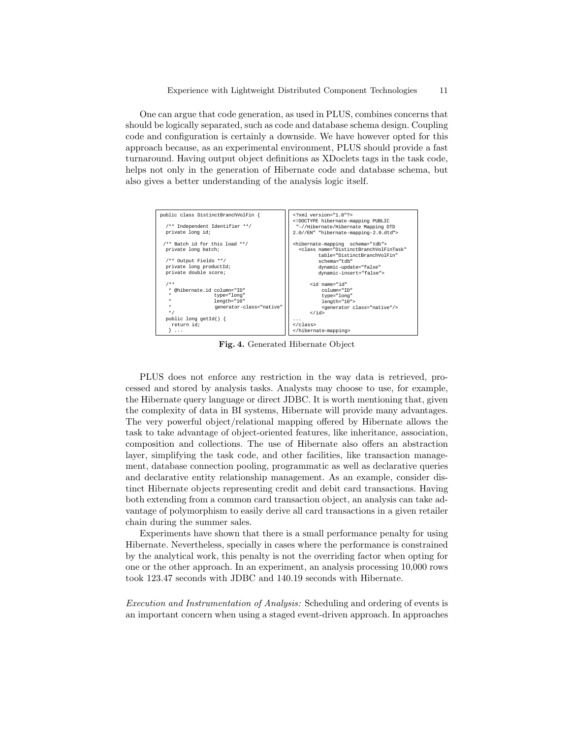One can argue that code generation, as used in PLUS, combines concerns that should be logically separated, such as code and database schema design. Coupling code and configuration is certainly a downside. We have however opted for this approach because, as an experimental environment, PLUS should provide a fast turnaround. Having output object definitions as XDoclets tags in the task code, helps not only in the generation of Hibernate code and database schema, but also gives a better understanding of the analysis logic itself.



Fig. 4. Generated Hibernate Object

PLUS does not enforce any restriction in the way data is retrieved, processed and stored by analysis tasks. Analysts may choose to use, for example, the Hibernate query language or direct JDBC. It is worth mentioning that, given the complexity of data in BI systems, Hibernate will provide many advantages. The very powerful object/relational mapping offered by Hibernate allows the task to take advantage of object-oriented features, like inheritance, association, composition and collections. The use of Hibernate also offers an abstraction layer, simplifying the task code, and other facilities, like transaction management, database connection pooling, programmatic as well as declarative queries and declarative entity relationship management. As an example, consider distinct Hibernate objects representing credit and debit card transactions. Having both extending from a common card transaction object, an analysis can take advantage of polymorphism to easily derive all card transactions in a given retailer chain during the summer sales.

Experiments have shown that there is a small performance penalty for using Hibernate. Nevertheless, specially in cases where the performance is constrained by the analytical work, this penalty is not the overriding factor when opting for one or the other approach. In an experiment, an analysis processing 10,000 rows took 123.47 seconds with JDBC and 140.19 seconds with Hibernate.

Execution and Instrumentation of Analysis: Scheduling and ordering of events is an important concern when using a staged event-driven approach. In approaches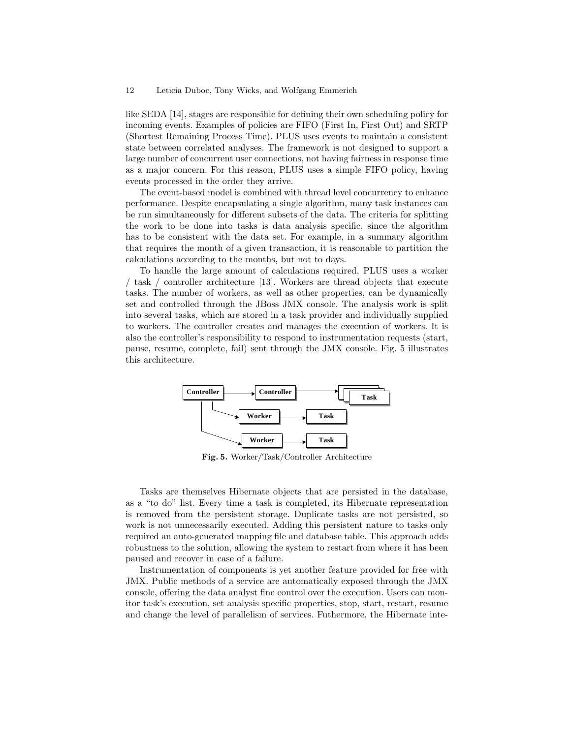like SEDA [14], stages are responsible for defining their own scheduling policy for incoming events. Examples of policies are FIFO (First In, First Out) and SRTP (Shortest Remaining Process Time). PLUS uses events to maintain a consistent state between correlated analyses. The framework is not designed to support a large number of concurrent user connections, not having fairness in response time as a major concern. For this reason, PLUS uses a simple FIFO policy, having events processed in the order they arrive.

The event-based model is combined with thread level concurrency to enhance performance. Despite encapsulating a single algorithm, many task instances can be run simultaneously for different subsets of the data. The criteria for splitting the work to be done into tasks is data analysis specific, since the algorithm has to be consistent with the data set. For example, in a summary algorithm that requires the month of a given transaction, it is reasonable to partition the calculations according to the months, but not to days.

To handle the large amount of calculations required, PLUS uses a worker / task / controller architecture [13]. Workers are thread objects that execute tasks. The number of workers, as well as other properties, can be dynamically set and controlled through the JBoss JMX console. The analysis work is split into several tasks, which are stored in a task provider and individually supplied to workers. The controller creates and manages the execution of workers. It is also the controller's responsibility to respond to instrumentation requests (start, pause, resume, complete, fail) sent through the JMX console. Fig. 5 illustrates this architecture.



Fig. 5. Worker/Task/Controller Architecture

Tasks are themselves Hibernate objects that are persisted in the database, as a "to do" list. Every time a task is completed, its Hibernate representation is removed from the persistent storage. Duplicate tasks are not persisted, so work is not unnecessarily executed. Adding this persistent nature to tasks only required an auto-generated mapping file and database table. This approach adds robustness to the solution, allowing the system to restart from where it has been paused and recover in case of a failure.

Instrumentation of components is yet another feature provided for free with JMX. Public methods of a service are automatically exposed through the JMX console, offering the data analyst fine control over the execution. Users can monitor task's execution, set analysis specific properties, stop, start, restart, resume and change the level of parallelism of services. Futhermore, the Hibernate inte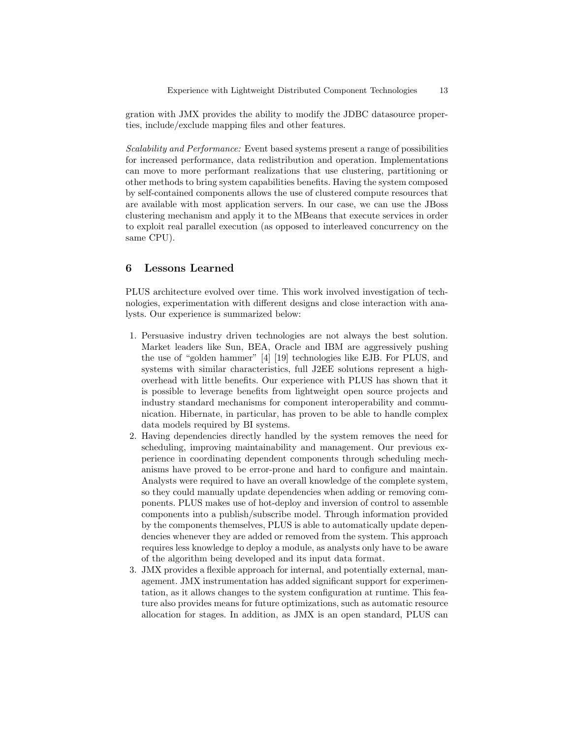gration with JMX provides the ability to modify the JDBC datasource properties, include/exclude mapping files and other features.

Scalability and Performance: Event based systems present a range of possibilities for increased performance, data redistribution and operation. Implementations can move to more performant realizations that use clustering, partitioning or other methods to bring system capabilities benefits. Having the system composed by self-contained components allows the use of clustered compute resources that are available with most application servers. In our case, we can use the JBoss clustering mechanism and apply it to the MBeans that execute services in order to exploit real parallel execution (as opposed to interleaved concurrency on the same CPU).

# 6 Lessons Learned

PLUS architecture evolved over time. This work involved investigation of technologies, experimentation with different designs and close interaction with analysts. Our experience is summarized below:

- 1. Persuasive industry driven technologies are not always the best solution. Market leaders like Sun, BEA, Oracle and IBM are aggressively pushing the use of "golden hammer" [4] [19] technologies like EJB. For PLUS, and systems with similar characteristics, full J2EE solutions represent a highoverhead with little benefits. Our experience with PLUS has shown that it is possible to leverage benefits from lightweight open source projects and industry standard mechanisms for component interoperability and communication. Hibernate, in particular, has proven to be able to handle complex data models required by BI systems.
- 2. Having dependencies directly handled by the system removes the need for scheduling, improving maintainability and management. Our previous experience in coordinating dependent components through scheduling mechanisms have proved to be error-prone and hard to configure and maintain. Analysts were required to have an overall knowledge of the complete system, so they could manually update dependencies when adding or removing components. PLUS makes use of hot-deploy and inversion of control to assemble components into a publish/subscribe model. Through information provided by the components themselves, PLUS is able to automatically update dependencies whenever they are added or removed from the system. This approach requires less knowledge to deploy a module, as analysts only have to be aware of the algorithm being developed and its input data format.
- 3. JMX provides a flexible approach for internal, and potentially external, management. JMX instrumentation has added significant support for experimentation, as it allows changes to the system configuration at runtime. This feature also provides means for future optimizations, such as automatic resource allocation for stages. In addition, as JMX is an open standard, PLUS can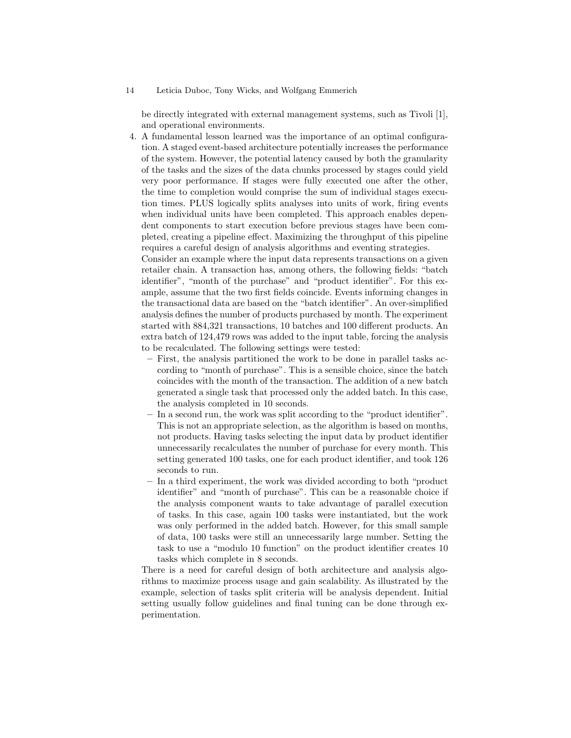be directly integrated with external management systems, such as Tivoli [1], and operational environments.

4. A fundamental lesson learned was the importance of an optimal configuration. A staged event-based architecture potentially increases the performance of the system. However, the potential latency caused by both the granularity of the tasks and the sizes of the data chunks processed by stages could yield very poor performance. If stages were fully executed one after the other, the time to completion would comprise the sum of individual stages execution times. PLUS logically splits analyses into units of work, firing events when individual units have been completed. This approach enables dependent components to start execution before previous stages have been completed, creating a pipeline effect. Maximizing the throughput of this pipeline requires a careful design of analysis algorithms and eventing strategies.

Consider an example where the input data represents transactions on a given retailer chain. A transaction has, among others, the following fields: "batch identifier", "month of the purchase" and "product identifier". For this example, assume that the two first fields coincide. Events informing changes in the transactional data are based on the "batch identifier". An over-simplified analysis defines the number of products purchased by month. The experiment started with 884,321 transactions, 10 batches and 100 different products. An extra batch of 124,479 rows was added to the input table, forcing the analysis to be recalculated. The following settings were tested:

- First, the analysis partitioned the work to be done in parallel tasks according to "month of purchase". This is a sensible choice, since the batch coincides with the month of the transaction. The addition of a new batch generated a single task that processed only the added batch. In this case, the analysis completed in 10 seconds.
- In a second run, the work was split according to the "product identifier". This is not an appropriate selection, as the algorithm is based on months, not products. Having tasks selecting the input data by product identifier unnecessarily recalculates the number of purchase for every month. This setting generated 100 tasks, one for each product identifier, and took 126 seconds to run.
- In a third experiment, the work was divided according to both "product identifier" and "month of purchase". This can be a reasonable choice if the analysis component wants to take advantage of parallel execution of tasks. In this case, again 100 tasks were instantiated, but the work was only performed in the added batch. However, for this small sample of data, 100 tasks were still an unnecessarily large number. Setting the task to use a "modulo 10 function" on the product identifier creates 10 tasks which complete in 8 seconds.

There is a need for careful design of both architecture and analysis algorithms to maximize process usage and gain scalability. As illustrated by the example, selection of tasks split criteria will be analysis dependent. Initial setting usually follow guidelines and final tuning can be done through experimentation.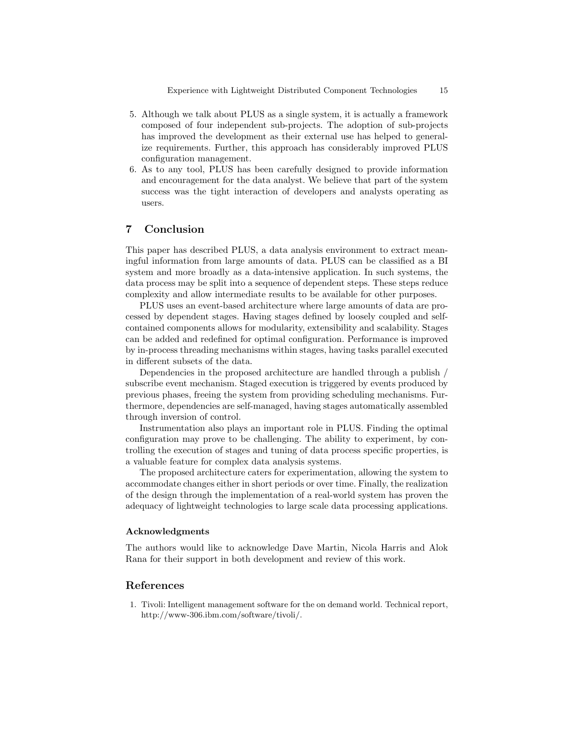- 5. Although we talk about PLUS as a single system, it is actually a framework composed of four independent sub-projects. The adoption of sub-projects has improved the development as their external use has helped to generalize requirements. Further, this approach has considerably improved PLUS configuration management.
- 6. As to any tool, PLUS has been carefully designed to provide information and encouragement for the data analyst. We believe that part of the system success was the tight interaction of developers and analysts operating as users.

# 7 Conclusion

This paper has described PLUS, a data analysis environment to extract meaningful information from large amounts of data. PLUS can be classified as a BI system and more broadly as a data-intensive application. In such systems, the data process may be split into a sequence of dependent steps. These steps reduce complexity and allow intermediate results to be available for other purposes.

PLUS uses an event-based architecture where large amounts of data are processed by dependent stages. Having stages defined by loosely coupled and selfcontained components allows for modularity, extensibility and scalability. Stages can be added and redefined for optimal configuration. Performance is improved by in-process threading mechanisms within stages, having tasks parallel executed in different subsets of the data.

Dependencies in the proposed architecture are handled through a publish / subscribe event mechanism. Staged execution is triggered by events produced by previous phases, freeing the system from providing scheduling mechanisms. Furthermore, dependencies are self-managed, having stages automatically assembled through inversion of control.

Instrumentation also plays an important role in PLUS. Finding the optimal configuration may prove to be challenging. The ability to experiment, by controlling the execution of stages and tuning of data process specific properties, is a valuable feature for complex data analysis systems.

The proposed architecture caters for experimentation, allowing the system to accommodate changes either in short periods or over time. Finally, the realization of the design through the implementation of a real-world system has proven the adequacy of lightweight technologies to large scale data processing applications.

#### Acknowledgments

The authors would like to acknowledge Dave Martin, Nicola Harris and Alok Rana for their support in both development and review of this work.

## References

1. Tivoli: Intelligent management software for the on demand world. Technical report, http://www-306.ibm.com/software/tivoli/.